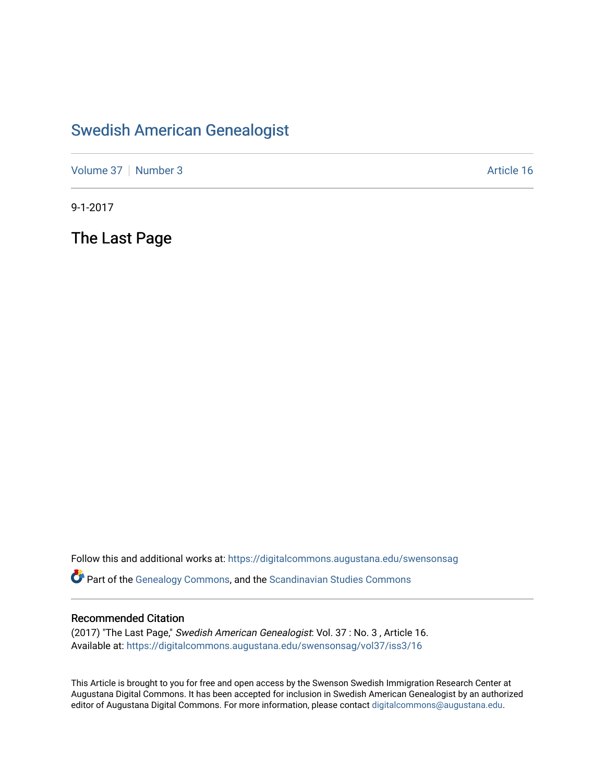### [Swedish American Genealogist](https://digitalcommons.augustana.edu/swensonsag)

[Volume 37](https://digitalcommons.augustana.edu/swensonsag/vol37) | [Number 3](https://digitalcommons.augustana.edu/swensonsag/vol37/iss3) Article 16

9-1-2017

The Last Page

Follow this and additional works at: [https://digitalcommons.augustana.edu/swensonsag](https://digitalcommons.augustana.edu/swensonsag?utm_source=digitalcommons.augustana.edu%2Fswensonsag%2Fvol37%2Fiss3%2F16&utm_medium=PDF&utm_campaign=PDFCoverPages) 

Part of the [Genealogy Commons,](http://network.bepress.com/hgg/discipline/1342?utm_source=digitalcommons.augustana.edu%2Fswensonsag%2Fvol37%2Fiss3%2F16&utm_medium=PDF&utm_campaign=PDFCoverPages) and the [Scandinavian Studies Commons](http://network.bepress.com/hgg/discipline/485?utm_source=digitalcommons.augustana.edu%2Fswensonsag%2Fvol37%2Fiss3%2F16&utm_medium=PDF&utm_campaign=PDFCoverPages)

#### Recommended Citation

(2017) "The Last Page," Swedish American Genealogist: Vol. 37 : No. 3 , Article 16. Available at: [https://digitalcommons.augustana.edu/swensonsag/vol37/iss3/16](https://digitalcommons.augustana.edu/swensonsag/vol37/iss3/16?utm_source=digitalcommons.augustana.edu%2Fswensonsag%2Fvol37%2Fiss3%2F16&utm_medium=PDF&utm_campaign=PDFCoverPages) 

This Article is brought to you for free and open access by the Swenson Swedish Immigration Research Center at Augustana Digital Commons. It has been accepted for inclusion in Swedish American Genealogist by an authorized editor of Augustana Digital Commons. For more information, please contact [digitalcommons@augustana.edu.](mailto:digitalcommons@augustana.edu)